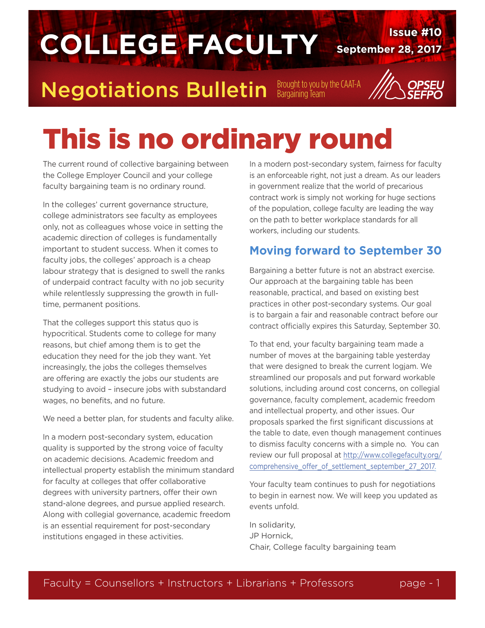

# This is no ordinary round

The current round of collective bargaining between the College Employer Council and your college faculty bargaining team is no ordinary round.

In the colleges' current governance structure, college administrators see faculty as employees only, not as colleagues whose voice in setting the academic direction of colleges is fundamentally important to student success. When it comes to faculty jobs, the colleges' approach is a cheap labour strategy that is designed to swell the ranks of underpaid contract faculty with no job security while relentlessly suppressing the growth in fulltime, permanent positions.

That the colleges support this status quo is hypocritical. Students come to college for many reasons, but chief among them is to get the education they need for the job they want. Yet increasingly, the jobs the colleges themselves are offering are exactly the jobs our students are studying to avoid – insecure jobs with substandard wages, no benefits, and no future.

We need a better plan, for students and faculty alike.

In a modern post-secondary system, education quality is supported by the strong voice of faculty on academic decisions. Academic freedom and intellectual property establish the minimum standard for faculty at colleges that offer collaborative degrees with university partners, offer their own stand-alone degrees, and pursue applied research. Along with collegial governance, academic freedom is an essential requirement for post-secondary institutions engaged in these activities.

In a modern post-secondary system, fairness for faculty is an enforceable right, not just a dream. As our leaders in government realize that the world of precarious contract work is simply not working for huge sections of the population, college faculty are leading the way on the path to better workplace standards for all workers, including our students.

#### **Moving forward to September 30**

Bargaining a better future is not an abstract exercise. Our approach at the bargaining table has been reasonable, practical, and based on existing best practices in other post-secondary systems. Our goal is to bargain a fair and reasonable contract before our contract officially expires this Saturday, September 30.

To that end, your faculty bargaining team made a number of moves at the bargaining table yesterday that were designed to break the current logjam. We streamlined our proposals and put forward workable solutions, including around cost concerns, on collegial governance, faculty complement, academic freedom and intellectual property, and other issues. Our proposals sparked the first significant discussions at the table to date, even though management continues to dismiss faculty concerns with a simple no. You can review our full proposal at [http://www.collegefaculty.org/](http://www.collegefaculty.org/comprehensive_offer_of_settlement_september_27_2017) [comprehensive\\_offer\\_of\\_settlement\\_september\\_27\\_2017.](http://www.collegefaculty.org/comprehensive_offer_of_settlement_september_27_2017)

Your faculty team continues to push for negotiations to begin in earnest now. We will keep you updated as events unfold.

In solidarity, JP Hornick, Chair, College faculty bargaining team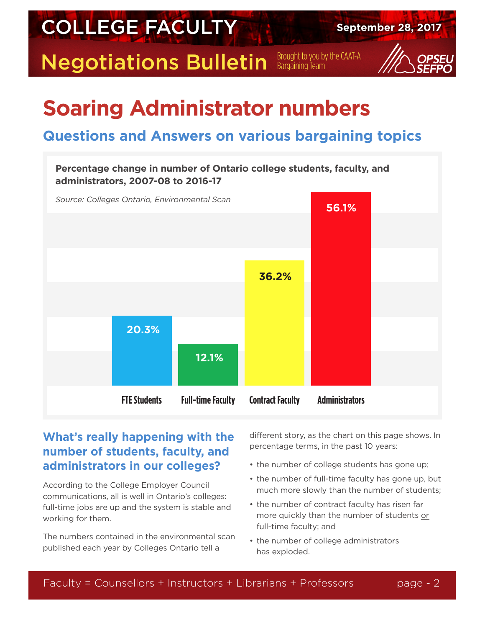

### **Soaring Administrator numbers**

### **Questions and Answers on various bargaining topics**



#### **What's really happening with the number of students, faculty, and administrators in our colleges?**

According to the College Employer Council communications, all is well in Ontario's colleges: full-time jobs are up and the system is stable and working for them.

The numbers contained in the environmental scan published each year by Colleges Ontario tell a

different story, as the chart on this page shows. In percentage terms, in the past 10 years:

- the number of college students has gone up;
- the number of full-time faculty has gone up, but much more slowly than the number of students;
- the number of contract faculty has risen far more quickly than the number of students or full-time faculty; and
- the number of college administrators has exploded.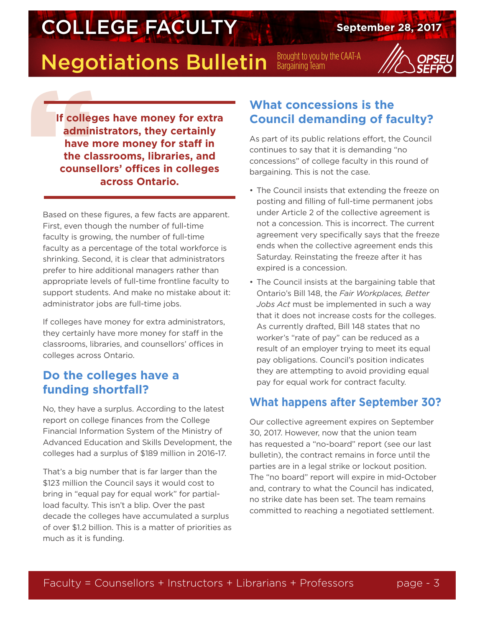### **COLLEGE FACULTY** September 28, 2017

### **Negotiations Bulletin** Brought to you by the CAAT-A



If colleged<br>
admin<br>
have r<br>
the cla<br>
counse **If colleges have money for extra administrators, they certainly have more money for staff in the classrooms, libraries, and counsellors' offices in colleges across Ontario.**

Based on these figures, a few facts are apparent. First, even though the number of full-time faculty is growing, the number of full-time faculty as a percentage of the total workforce is shrinking. Second, it is clear that administrators prefer to hire additional managers rather than appropriate levels of full-time frontline faculty to support students. And make no mistake about it: administrator jobs are full-time jobs.

If colleges have money for extra administrators, they certainly have more money for staff in the classrooms, libraries, and counsellors' offices in colleges across Ontario.

#### **Do the colleges have a funding shortfall?**

No, they have a surplus. According to the latest report on college finances from the College Financial Information System of the Ministry of Advanced Education and Skills Development, the colleges had a surplus of \$189 million in 2016-17.

That's a big number that is far larger than the \$123 million the Council says it would cost to bring in "equal pay for equal work" for partialload faculty. This isn't a blip. Over the past decade the colleges have accumulated a surplus of over \$1.2 billion. This is a matter of priorities as much as it is funding.

#### **What concessions is the Council demanding of faculty?**

As part of its public relations effort, the Council continues to say that it is demanding "no concessions" of college faculty in this round of bargaining. This is not the case.

- The Council insists that extending the freeze on posting and filling of full-time permanent jobs under Article 2 of the collective agreement is not a concession. This is incorrect. The current agreement very specifically says that the freeze ends when the collective agreement ends this Saturday. Reinstating the freeze after it has expired is a concession.
- The Council insists at the bargaining table that Ontario's Bill 148, the *Fair Workplaces, Better Jobs Act* must be implemented in such a way that it does not increase costs for the colleges. As currently drafted, Bill 148 states that no worker's "rate of pay" can be reduced as a result of an employer trying to meet its equal pay obligations. Council's position indicates they are attempting to avoid providing equal pay for equal work for contract faculty.

#### **What happens after September 30?**

Our collective agreement expires on September 30, 2017. However, now that the union team has requested a "no-board" report (see our last bulletin), the contract remains in force until the parties are in a legal strike or lockout position. The "no board" report will expire in mid-October and, contrary to what the Council has indicated, no strike date has been set. The team remains committed to reaching a negotiated settlement.